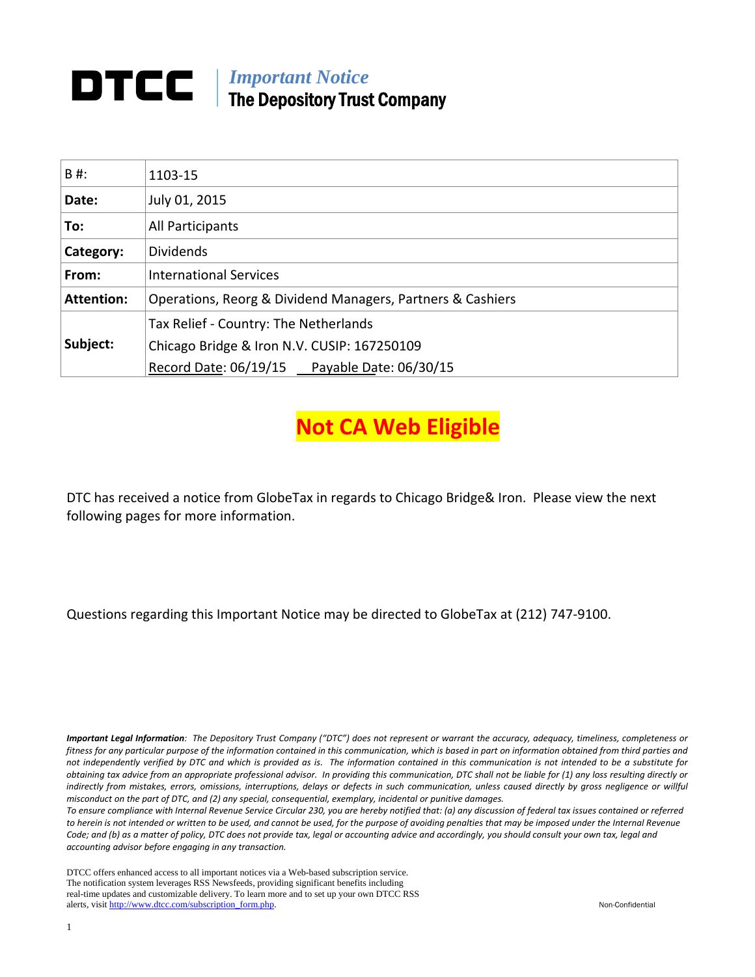## *Important Notice*  The Depository Trust Company

| B#:               | 1103-15                                                    |  |  |
|-------------------|------------------------------------------------------------|--|--|
| Date:             | July 01, 2015                                              |  |  |
| To:               | All Participants                                           |  |  |
| Category:         | <b>Dividends</b>                                           |  |  |
| From:             | <b>International Services</b>                              |  |  |
| <b>Attention:</b> | Operations, Reorg & Dividend Managers, Partners & Cashiers |  |  |
|                   | Tax Relief - Country: The Netherlands                      |  |  |
| Subject:          | Chicago Bridge & Iron N.V. CUSIP: 167250109                |  |  |
|                   | Record Date: 06/19/15 Payable Date: 06/30/15               |  |  |

**Not CA Web Eligible**

DTC has received a notice from GlobeTax in regards to Chicago Bridge& Iron. Please view the next following pages for more information.

Questions regarding this Important Notice may be directed to GlobeTax at (212) 747‐9100.

Important Legal Information: The Depository Trust Company ("DTC") does not represent or warrant the accuracy, adequacy, timeliness, completeness or fitness for any particular purpose of the information contained in this communication, which is based in part on information obtained from third parties and not independently verified by DTC and which is provided as is. The information contained in this communication is not intended to be a substitute for obtaining tax advice from an appropriate professional advisor. In providing this communication, DTC shall not be liable for (1) any loss resulting directly or indirectly from mistakes, errors, omissions, interruptions, delays or defects in such communication, unless caused directly by gross negligence or willful *misconduct on the part of DTC, and (2) any special, consequential, exemplary, incidental or punitive damages.*

To ensure compliance with Internal Revenue Service Circular 230, you are hereby notified that: (a) any discussion of federal tax issues contained or referred to herein is not intended or written to be used, and cannot be used, for the purpose of avoiding penalties that may be imposed under the Internal Revenue Code; and (b) as a matter of policy, DTC does not provide tax, legal or accounting advice and accordingly, you should consult your own tax, legal and *accounting advisor before engaging in any transaction.*

DTCC offers enhanced access to all important notices via a Web-based subscription service. The notification system leverages RSS Newsfeeds, providing significant benefits including real-time updates and customizable delivery. To learn more and to set up your own DTCC RSS alerts, visit http://www.dtcc.com/subscription\_form.php. Non-Confidential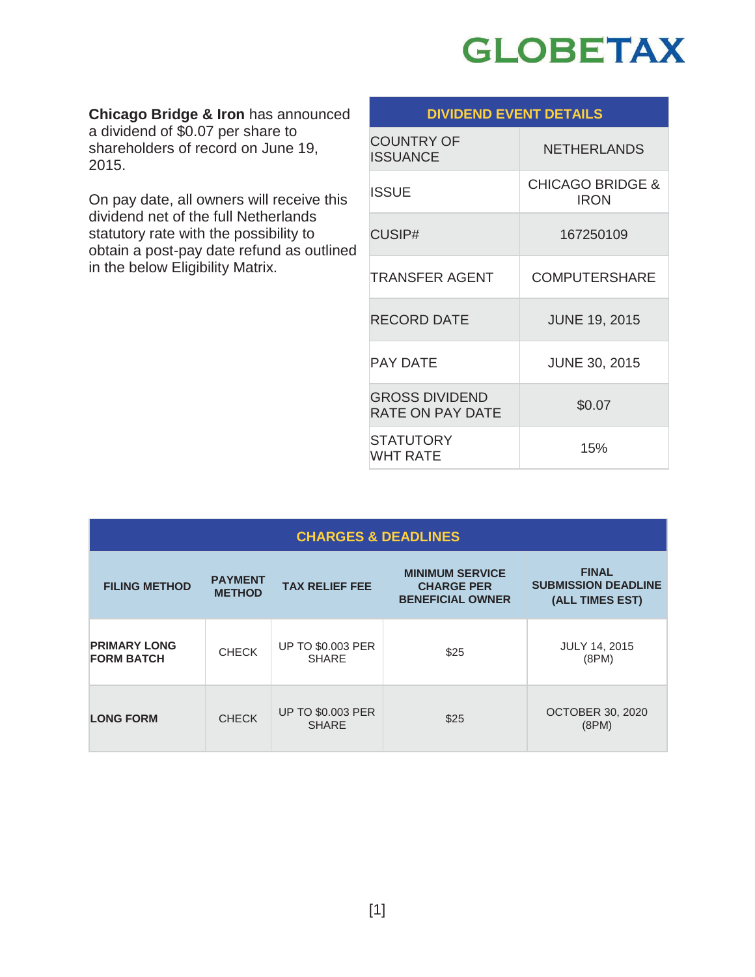

**Chicago Bridge & Iron** has announced a dividend of \$0.07 per share to shareholders of record on June 19, 2015.

On pay date, all owners will receive this dividend net of the full Netherlands statutory rate with the possibility to obtain a post-pay date refund as outlined in the below Eligibility Matrix.

| <b>DIVIDEND EVENT DETAILS</b>                    |                                            |  |  |
|--------------------------------------------------|--------------------------------------------|--|--|
| <b>COUNTRY OF</b><br>ISSUANCE                    | <b>NETHERLANDS</b>                         |  |  |
| <b>ISSUE</b>                                     | <b>CHICAGO BRIDGE &amp;</b><br><b>IRON</b> |  |  |
| CUSIP#                                           | 167250109                                  |  |  |
| <b>TRANSFER AGENT</b>                            | <b>COMPUTERSHARE</b>                       |  |  |
| <b>RECORD DATE</b>                               | <b>JUNE 19, 2015</b>                       |  |  |
| <b>PAY DATE</b>                                  | <b>JUNE 30, 2015</b>                       |  |  |
| <b>GROSS DIVIDEND</b><br><b>RATE ON PAY DATE</b> | \$0.07                                     |  |  |
| <b>STATUTORY</b><br><b>WHT RATE</b>              | 15%                                        |  |  |

| <b>CHARGES &amp; DEADLINES</b>           |                                 |                                          |                                                                        |                                                               |
|------------------------------------------|---------------------------------|------------------------------------------|------------------------------------------------------------------------|---------------------------------------------------------------|
| <b>FILING METHOD</b>                     | <b>PAYMENT</b><br><b>METHOD</b> | <b>TAX RELIEF FEE</b>                    | <b>MINIMUM SERVICE</b><br><b>CHARGE PER</b><br><b>BENEFICIAL OWNER</b> | <b>FINAL</b><br><b>SUBMISSION DEADLINE</b><br>(ALL TIMES EST) |
| <b>PRIMARY LONG</b><br><b>FORM BATCH</b> | <b>CHECK</b>                    | <b>UP TO \$0.003 PER</b><br><b>SHARE</b> | \$25                                                                   | <b>JULY 14, 2015</b><br>(8PM)                                 |
| <b>LONG FORM</b>                         | <b>CHECK</b>                    | <b>UP TO \$0.003 PER</b><br><b>SHARE</b> | \$25                                                                   | <b>OCTOBER 30, 2020</b><br>(8PM)                              |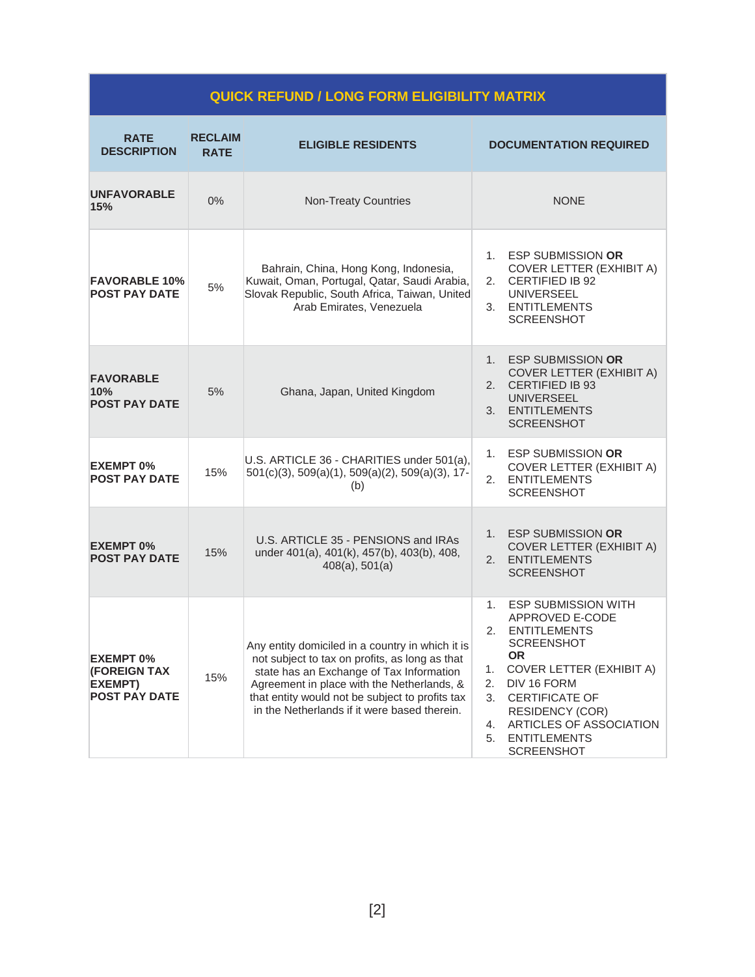| <b>QUICK REFUND / LONG FORM ELIGIBILITY MATRIX</b>                         |                               |                                                                                                                                                                                                                                                                                                 |                                                                                                                                                                                                                                                                                                                |  |
|----------------------------------------------------------------------------|-------------------------------|-------------------------------------------------------------------------------------------------------------------------------------------------------------------------------------------------------------------------------------------------------------------------------------------------|----------------------------------------------------------------------------------------------------------------------------------------------------------------------------------------------------------------------------------------------------------------------------------------------------------------|--|
| <b>RATE</b><br><b>DESCRIPTION</b>                                          | <b>RECLAIM</b><br><b>RATE</b> | <b>ELIGIBLE RESIDENTS</b>                                                                                                                                                                                                                                                                       | <b>DOCUMENTATION REQUIRED</b>                                                                                                                                                                                                                                                                                  |  |
| <b>UNFAVORABLE</b><br>15%                                                  | 0%                            | <b>Non-Treaty Countries</b>                                                                                                                                                                                                                                                                     | <b>NONE</b>                                                                                                                                                                                                                                                                                                    |  |
| <b>FAVORABLE 10%</b><br><b>POST PAY DATE</b>                               | 5%                            | Bahrain, China, Hong Kong, Indonesia,<br>Kuwait, Oman, Portugal, Qatar, Saudi Arabia,<br>Slovak Republic, South Africa, Taiwan, United<br>Arab Emirates, Venezuela                                                                                                                              | <b>ESP SUBMISSION OR</b><br>1.<br>COVER LETTER (EXHIBIT A)<br>2.<br><b>CERTIFIED IB 92</b><br><b>UNIVERSEEL</b><br><b>ENTITLEMENTS</b><br>3.<br><b>SCREENSHOT</b>                                                                                                                                              |  |
| <b>FAVORABLE</b><br>10%<br><b>POST PAY DATE</b>                            | 5%                            | Ghana, Japan, United Kingdom                                                                                                                                                                                                                                                                    | 1.<br><b>ESP SUBMISSION OR</b><br>COVER LETTER (EXHIBIT A)<br>2.<br><b>CERTIFIED IB 93</b><br><b>UNIVERSEEL</b><br><b>ENTITLEMENTS</b><br>3.<br><b>SCREENSHOT</b>                                                                                                                                              |  |
| <b>EXEMPT 0%</b><br><b>POST PAY DATE</b>                                   | 15%                           | U.S. ARTICLE 36 - CHARITIES under 501(a),<br>501(c)(3), 509(a)(1), 509(a)(2), 509(a)(3), 17-<br>(b)                                                                                                                                                                                             | 1. ESP SUBMISSION OR<br><b>COVER LETTER (EXHIBIT A)</b><br>2. ENTITLEMENTS<br><b>SCREENSHOT</b>                                                                                                                                                                                                                |  |
| <b>EXEMPT 0%</b><br><b>POST PAY DATE</b>                                   | 15%                           | U.S. ARTICLE 35 - PENSIONS and IRAs<br>under 401(a), 401(k), 457(b), 403(b), 408,<br>$408(a)$ , $501(a)$                                                                                                                                                                                        | <b>ESP SUBMISSION OR</b><br>1.<br>COVER LETTER (EXHIBIT A)<br>2.<br><b>ENTITLEMENTS</b><br><b>SCREENSHOT</b>                                                                                                                                                                                                   |  |
| <b>EXEMPT 0%</b><br><b>(FOREIGN TAX</b><br>EXEMPT)<br><b>POST PAY DATE</b> | 15%                           | Any entity domiciled in a country in which it is<br>not subject to tax on profits, as long as that<br>state has an Exchange of Tax Information<br>Agreement in place with the Netherlands, &<br>that entity would not be subject to profits tax<br>in the Netherlands if it were based therein. | <b>ESP SUBMISSION WITH</b><br>1.<br>APPROVED E-CODE<br>2.<br><b>ENTITLEMENTS</b><br>SCREENSHOT<br><b>OR</b><br>COVER LETTER (EXHIBIT A)<br>1.<br>2.<br>DIV 16 FORM<br>3.<br><b>CERTIFICATE OF</b><br><b>RESIDENCY (COR)</b><br>ARTICLES OF ASSOCIATION<br>4.<br>5.<br><b>ENTITLEMENTS</b><br><b>SCREENSHOT</b> |  |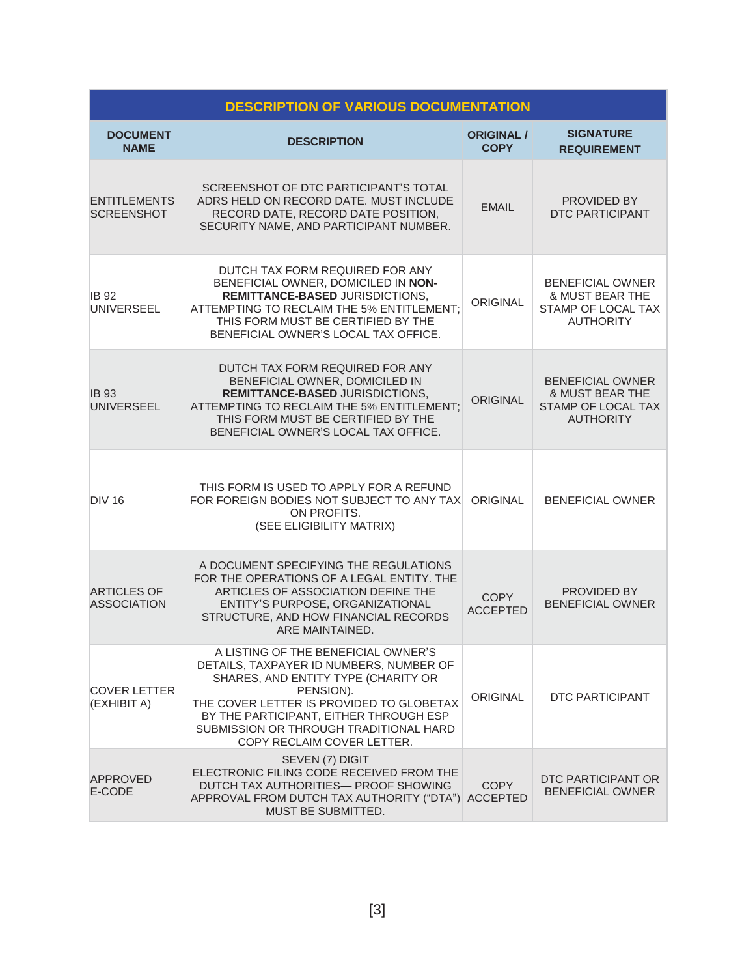| <b>DESCRIPTION OF VARIOUS DOCUMENTATION</b> |                                                                                                                                                                                                                                                                                                  |                           |                                                                                             |  |
|---------------------------------------------|--------------------------------------------------------------------------------------------------------------------------------------------------------------------------------------------------------------------------------------------------------------------------------------------------|---------------------------|---------------------------------------------------------------------------------------------|--|
| <b>DOCUMENT</b><br><b>NAME</b>              | <b>DESCRIPTION</b>                                                                                                                                                                                                                                                                               | ORIGINAL /<br><b>COPY</b> | <b>SIGNATURE</b><br><b>REQUIREMENT</b>                                                      |  |
| <b>ENTITLEMENTS</b><br><b>SCREENSHOT</b>    | SCREENSHOT OF DTC PARTICIPANT'S TOTAL<br>ADRS HELD ON RECORD DATE. MUST INCLUDE<br>RECORD DATE, RECORD DATE POSITION,<br>SECURITY NAME, AND PARTICIPANT NUMBER.                                                                                                                                  | <b>EMAIL</b>              | PROVIDED BY<br><b>DTC PARTICIPANT</b>                                                       |  |
| <b>IB 92</b><br>UNIVERSEEL                  | DUTCH TAX FORM REQUIRED FOR ANY<br>BENEFICIAL OWNER, DOMICILED IN NON-<br>REMITTANCE-BASED JURISDICTIONS,<br>ATTEMPTING TO RECLAIM THE 5% ENTITLEMENT;<br>THIS FORM MUST BE CERTIFIED BY THE<br>BENEFICIAL OWNER'S LOCAL TAX OFFICE.                                                             | <b>ORIGINAL</b>           | <b>BENEFICIAL OWNER</b><br>& MUST BEAR THE<br>STAMP OF LOCAL TAX<br><b>AUTHORITY</b>        |  |
| <b>IB 93</b><br><b>UNIVERSEEL</b>           | DUTCH TAX FORM REQUIRED FOR ANY<br>BENEFICIAL OWNER, DOMICILED IN<br>REMITTANCE-BASED JURISDICTIONS,<br>ATTEMPTING TO RECLAIM THE 5% ENTITLEMENT;<br>THIS FORM MUST BE CERTIFIED BY THE<br>BENEFICIAL OWNER'S LOCAL TAX OFFICE.                                                                  | <b>ORIGINAL</b>           | <b>BENEFICIAL OWNER</b><br>& MUST BEAR THE<br><b>STAMP OF LOCAL TAX</b><br><b>AUTHORITY</b> |  |
| <b>DIV 16</b>                               | THIS FORM IS USED TO APPLY FOR A REFUND<br>FOR FOREIGN BODIES NOT SUBJECT TO ANY TAX<br>ON PROFITS.<br>(SEE ELIGIBILITY MATRIX)                                                                                                                                                                  | ORIGINAL                  | <b>BENEFICIAL OWNER</b>                                                                     |  |
| <b>ARTICLES OF</b><br><b>ASSOCIATION</b>    | A DOCUMENT SPECIFYING THE REGULATIONS<br>FOR THE OPERATIONS OF A LEGAL ENTITY. THE<br>ARTICLES OF ASSOCIATION DEFINE THE<br>ENTITY'S PURPOSE, ORGANIZATIONAL<br>STRUCTURE, AND HOW FINANCIAL RECORDS<br>ARE MAINTAINED.                                                                          | COPY<br><b>ACCEPTED</b>   | PROVIDED BY<br><b>BENEFICIAL OWNER</b>                                                      |  |
| <b>COVER LETTER</b><br>(EXHIBIT A)          | A LISTING OF THE BENEFICIAL OWNER'S<br>DETAILS, TAXPAYER ID NUMBERS, NUMBER OF<br>SHARES, AND ENTITY TYPE (CHARITY OR<br>PENSION).<br>THE COVER LETTER IS PROVIDED TO GLOBETAX<br>BY THE PARTICIPANT, EITHER THROUGH ESP<br>SUBMISSION OR THROUGH TRADITIONAL HARD<br>COPY RECLAIM COVER LETTER. | <b>ORIGINAL</b>           | DTC PARTICIPANT                                                                             |  |
| <b>APPROVED</b><br>E-CODE                   | SEVEN (7) DIGIT<br>ELECTRONIC FILING CODE RECEIVED FROM THE<br>DUTCH TAX AUTHORITIES- PROOF SHOWING<br>APPROVAL FROM DUTCH TAX AUTHORITY ("DTA") ACCEPTED<br>MUST BE SUBMITTED.                                                                                                                  | COPY                      | DTC PARTICIPANT OR<br><b>BENEFICIAL OWNER</b>                                               |  |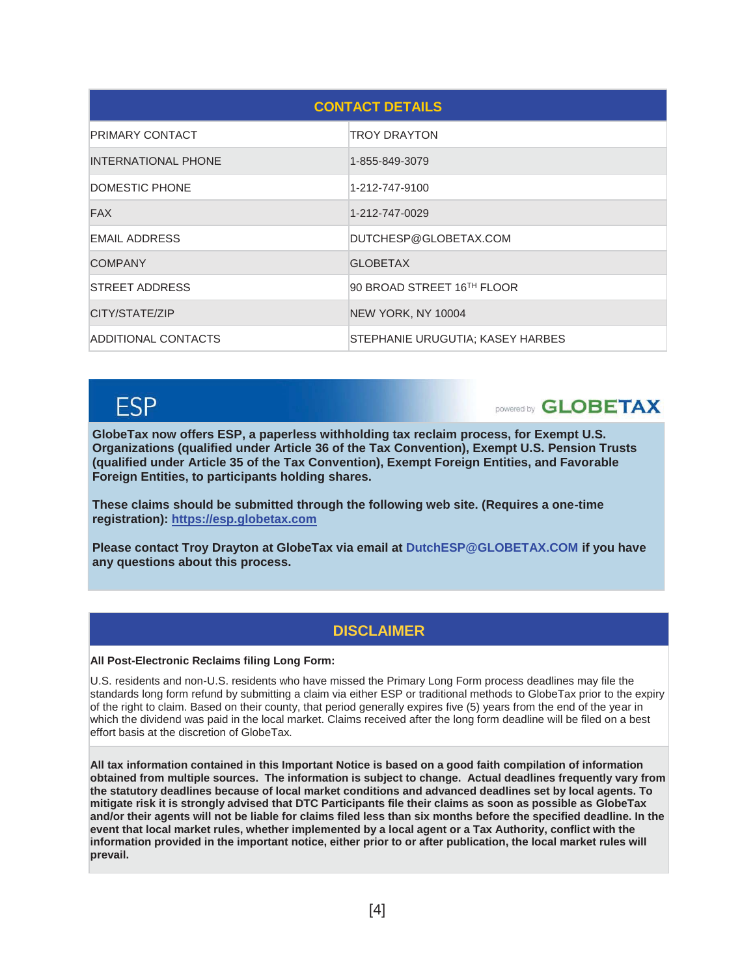| <b>CONTACT DETAILS</b>     |                                  |  |  |
|----------------------------|----------------------------------|--|--|
| PRIMARY CONTACT            | <b>TROY DRAYTON</b>              |  |  |
| <b>INTERNATIONAL PHONE</b> | 1-855-849-3079                   |  |  |
| DOMESTIC PHONE             | 1-212-747-9100                   |  |  |
| <b>FAX</b>                 | 1-212-747-0029                   |  |  |
| <b>EMAIL ADDRESS</b>       | DUTCHESP@GLOBETAX.COM            |  |  |
| <b>COMPANY</b>             | <b>GLOBETAX</b>                  |  |  |
| STREET ADDRESS             | 90 BROAD STREET 16TH FLOOR       |  |  |
| CITY/STATE/ZIP             | NEW YORK, NY 10004               |  |  |
| ADDITIONAL CONTACTS        | STEPHANIE URUGUTIA: KASEY HARBES |  |  |

# **FSP**

DOWERED **GLOBETAX** 

**GlobeTax now offers ESP, a paperless withholding tax reclaim process, for Exempt U.S. Organizations (qualified under Article 36 of the Tax Convention), Exempt U.S. Pension Trusts (qualified under Article 35 of the Tax Convention), Exempt Foreign Entities, and Favorable Foreign Entities, to participants holding shares.** 

**These claims should be submitted through the following web site. (Requires a one-time registration): https://esp.globetax.com** 

**Please contact Troy Drayton at GlobeTax via email at DutchESP@GLOBETAX.COM if you have any questions about this process.**

### **DISCLAIMER**

#### **All Post-Electronic Reclaims filing Long Form:**

U.S. residents and non-U.S. residents who have missed the Primary Long Form process deadlines may file the standards long form refund by submitting a claim via either ESP or traditional methods to GlobeTax prior to the expiry of the right to claim. Based on their county, that period generally expires five (5) years from the end of the year in which the dividend was paid in the local market. Claims received after the long form deadline will be filed on a best effort basis at the discretion of GlobeTax.

**All tax information contained in this Important Notice is based on a good faith compilation of information obtained from multiple sources. The information is subject to change. Actual deadlines frequently vary from the statutory deadlines because of local market conditions and advanced deadlines set by local agents. To mitigate risk it is strongly advised that DTC Participants file their claims as soon as possible as GlobeTax and/or their agents will not be liable for claims filed less than six months before the specified deadline. In the event that local market rules, whether implemented by a local agent or a Tax Authority, conflict with the information provided in the important notice, either prior to or after publication, the local market rules will prevail.**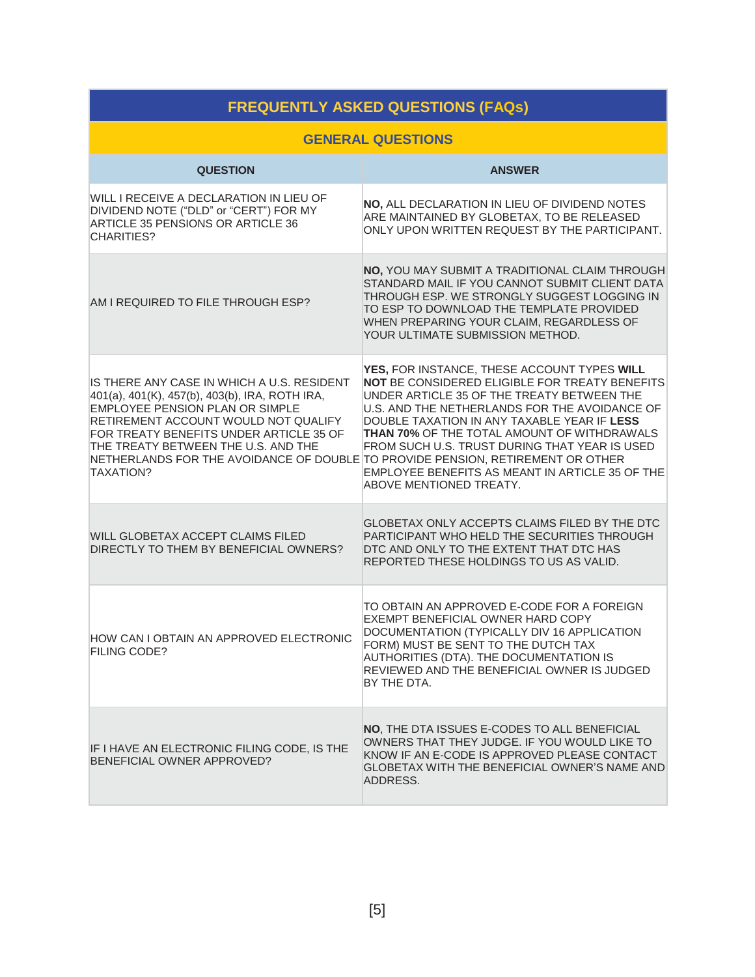| <b>FREQUENTLY ASKED QUESTIONS (FAQs)</b>                                                                                                                                                                                                                                                                                                                         |                                                                                                                                                                                                                                                                                                                                                                                                                                  |  |  |
|------------------------------------------------------------------------------------------------------------------------------------------------------------------------------------------------------------------------------------------------------------------------------------------------------------------------------------------------------------------|----------------------------------------------------------------------------------------------------------------------------------------------------------------------------------------------------------------------------------------------------------------------------------------------------------------------------------------------------------------------------------------------------------------------------------|--|--|
| <b>GENERAL QUESTIONS</b>                                                                                                                                                                                                                                                                                                                                         |                                                                                                                                                                                                                                                                                                                                                                                                                                  |  |  |
| <b>QUESTION</b>                                                                                                                                                                                                                                                                                                                                                  | <b>ANSWER</b>                                                                                                                                                                                                                                                                                                                                                                                                                    |  |  |
| WILL I RECEIVE A DECLARATION IN LIEU OF<br>DIVIDEND NOTE ("DLD" or "CERT") FOR MY<br>ARTICLE 35 PENSIONS OR ARTICLE 36<br><b>CHARITIES?</b>                                                                                                                                                                                                                      | NO, ALL DECLARATION IN LIEU OF DIVIDEND NOTES<br>ARE MAINTAINED BY GLOBETAX, TO BE RELEASED<br>ONLY UPON WRITTEN REQUEST BY THE PARTICIPANT.                                                                                                                                                                                                                                                                                     |  |  |
| AM I REQUIRED TO FILE THROUGH ESP?                                                                                                                                                                                                                                                                                                                               | NO, YOU MAY SUBMIT A TRADITIONAL CLAIM THROUGH<br>STANDARD MAIL IF YOU CANNOT SUBMIT CLIENT DATA<br>THROUGH ESP. WE STRONGLY SUGGEST LOGGING IN<br>TO ESP TO DOWNLOAD THE TEMPLATE PROVIDED<br>WHEN PREPARING YOUR CLAIM, REGARDLESS OF<br>YOUR ULTIMATE SUBMISSION METHOD.                                                                                                                                                      |  |  |
| IS THERE ANY CASE IN WHICH A U.S. RESIDENT<br>401(a), 401(K), 457(b), 403(b), IRA, ROTH IRA,<br>EMPLOYEE PENSION PLAN OR SIMPLE<br>RETIREMENT ACCOUNT WOULD NOT QUALIFY<br>FOR TREATY BENEFITS UNDER ARTICLE 35 OF<br>THE TREATY BETWEEN THE U.S. AND THE<br>NETHERLANDS FOR THE AVOIDANCE OF DOUBLE TO PROVIDE PENSION, RETIREMENT OR OTHER<br><b>TAXATION?</b> | YES, FOR INSTANCE, THESE ACCOUNT TYPES WILL<br>NOT BE CONSIDERED ELIGIBLE FOR TREATY BENEFITS<br>UNDER ARTICLE 35 OF THE TREATY BETWEEN THE<br>U.S. AND THE NETHERLANDS FOR THE AVOIDANCE OF<br>DOUBLE TAXATION IN ANY TAXABLE YEAR IF LESS<br>THAN 70% OF THE TOTAL AMOUNT OF WITHDRAWALS<br>FROM SUCH U.S. TRUST DURING THAT YEAR IS USED<br>EMPLOYEE BENEFITS AS MEANT IN ARTICLE 35 OF THE<br><b>ABOVE MENTIONED TREATY.</b> |  |  |
| WILL GLOBETAX ACCEPT CLAIMS FILED<br>DIRECTLY TO THEM BY BENEFICIAL OWNERS?                                                                                                                                                                                                                                                                                      | GLOBETAX ONLY ACCEPTS CLAIMS FILED BY THE DTC<br>PARTICIPANT WHO HELD THE SECURITIES THROUGH<br>DTC AND ONLY TO THE EXTENT THAT DTC HAS<br>REPORTED THESE HOLDINGS TO US AS VALID.                                                                                                                                                                                                                                               |  |  |
| HOW CAN I OBTAIN AN APPROVED ELECTRONIC<br><b>FILING CODE?</b>                                                                                                                                                                                                                                                                                                   | TO OBTAIN AN APPROVED E-CODE FOR A FOREIGN<br>EXEMPT BENEFICIAL OWNER HARD COPY<br>DOCUMENTATION (TYPICALLY DIV 16 APPLICATION<br>FORM) MUST BE SENT TO THE DUTCH TAX<br>AUTHORITIES (DTA). THE DOCUMENTATION IS<br>REVIEWED AND THE BENEFICIAL OWNER IS JUDGED<br>BY THE DTA.                                                                                                                                                   |  |  |
| IF I HAVE AN ELECTRONIC FILING CODE, IS THE<br>BENEFICIAL OWNER APPROVED?                                                                                                                                                                                                                                                                                        | NO, THE DTA ISSUES E-CODES TO ALL BENEFICIAL<br>OWNERS THAT THEY JUDGE. IF YOU WOULD LIKE TO<br>KNOW IF AN E-CODE IS APPROVED PLEASE CONTACT<br>GLOBETAX WITH THE BENEFICIAL OWNER'S NAME AND<br>ADDRESS.                                                                                                                                                                                                                        |  |  |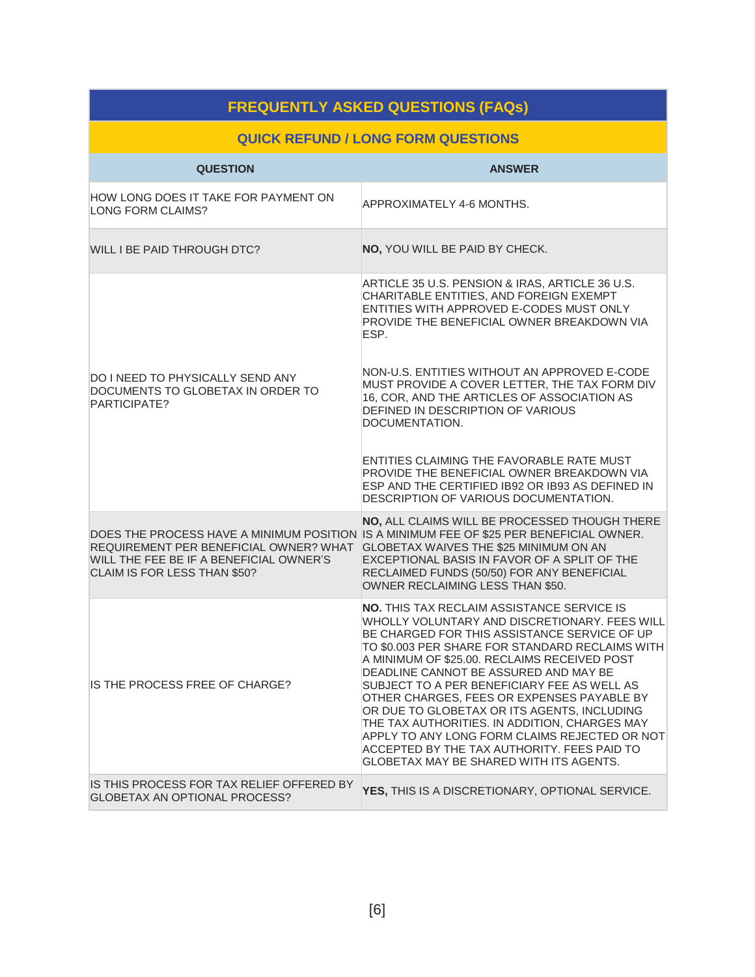| <b>FREQUENTLY ASKED QUESTIONS (FAQs)</b>                                                                          |                                                                                                                                                                                                                                                                                                                                                                                                                                                                                                                                                                                                                                        |  |  |
|-------------------------------------------------------------------------------------------------------------------|----------------------------------------------------------------------------------------------------------------------------------------------------------------------------------------------------------------------------------------------------------------------------------------------------------------------------------------------------------------------------------------------------------------------------------------------------------------------------------------------------------------------------------------------------------------------------------------------------------------------------------------|--|--|
| <b>QUICK REFUND / LONG FORM QUESTIONS</b>                                                                         |                                                                                                                                                                                                                                                                                                                                                                                                                                                                                                                                                                                                                                        |  |  |
| <b>QUESTION</b>                                                                                                   | <b>ANSWER</b>                                                                                                                                                                                                                                                                                                                                                                                                                                                                                                                                                                                                                          |  |  |
| HOW LONG DOES IT TAKE FOR PAYMENT ON<br>LONG FORM CLAIMS?                                                         | APPROXIMATELY 4-6 MONTHS.                                                                                                                                                                                                                                                                                                                                                                                                                                                                                                                                                                                                              |  |  |
| WILL I BE PAID THROUGH DTC?                                                                                       | NO, YOU WILL BE PAID BY CHECK.                                                                                                                                                                                                                                                                                                                                                                                                                                                                                                                                                                                                         |  |  |
|                                                                                                                   | ARTICLE 35 U.S. PENSION & IRAS, ARTICLE 36 U.S.<br>CHARITABLE ENTITIES, AND FOREIGN EXEMPT<br>ENTITIES WITH APPROVED E-CODES MUST ONLY<br>PROVIDE THE BENEFICIAL OWNER BREAKDOWN VIA<br>ESP.                                                                                                                                                                                                                                                                                                                                                                                                                                           |  |  |
| DO I NEED TO PHYSICALLY SEND ANY<br>DOCUMENTS TO GLOBETAX IN ORDER TO<br>PARTICIPATE?                             | NON-U.S. ENTITIES WITHOUT AN APPROVED E-CODE<br>MUST PROVIDE A COVER LETTER, THE TAX FORM DIV<br>16, COR, AND THE ARTICLES OF ASSOCIATION AS<br>DEFINED IN DESCRIPTION OF VARIOUS<br>DOCUMENTATION.                                                                                                                                                                                                                                                                                                                                                                                                                                    |  |  |
|                                                                                                                   | ENTITIES CLAIMING THE FAVORABLE RATE MUST<br>PROVIDE THE BENEFICIAL OWNER BREAKDOWN VIA<br>ESP AND THE CERTIFIED IB92 OR IB93 AS DEFINED IN<br>DESCRIPTION OF VARIOUS DOCUMENTATION.                                                                                                                                                                                                                                                                                                                                                                                                                                                   |  |  |
| REQUIREMENT PER BENEFICIAL OWNER? WHAT<br>WILL THE FEE BE IF A BENEFICIAL OWNER'S<br>CLAIM IS FOR LESS THAN \$50? | NO, ALL CLAIMS WILL BE PROCESSED THOUGH THERE<br>DOES THE PROCESS HAVE A MINIMUM POSITION IS A MINIMUM FEE OF \$25 PER BENEFICIAL OWNER.<br>GLOBETAX WAIVES THE \$25 MINIMUM ON AN<br>EXCEPTIONAL BASIS IN FAVOR OF A SPLIT OF THE<br>RECLAIMED FUNDS (50/50) FOR ANY BENEFICIAL<br>OWNER RECLAIMING LESS THAN \$50.                                                                                                                                                                                                                                                                                                                   |  |  |
| IS THE PROCESS FREE OF CHARGE?                                                                                    | <b>NO. THIS TAX RECLAIM ASSISTANCE SERVICE IS</b><br>WHOLLY VOLUNTARY AND DISCRETIONARY. FEES WILL<br>BE CHARGED FOR THIS ASSISTANCE SERVICE OF UP<br>TO \$0.003 PER SHARE FOR STANDARD RECLAIMS WITH<br>A MINIMUM OF \$25.00. RECLAIMS RECEIVED POST<br>DEADLINE CANNOT BE ASSURED AND MAY BE<br>SUBJECT TO A PER BENEFICIARY FEE AS WELL AS<br>OTHER CHARGES, FEES OR EXPENSES PAYABLE BY<br>OR DUE TO GLOBETAX OR ITS AGENTS, INCLUDING<br>THE TAX AUTHORITIES. IN ADDITION, CHARGES MAY<br>APPLY TO ANY LONG FORM CLAIMS REJECTED OR NOT<br>ACCEPTED BY THE TAX AUTHORITY. FEES PAID TO<br>GLOBETAX MAY BE SHARED WITH ITS AGENTS. |  |  |
| IS THIS PROCESS FOR TAX RELIEF OFFERED BY<br>GLOBETAX AN OPTIONAL PROCESS?                                        | YES, THIS IS A DISCRETIONARY, OPTIONAL SERVICE.                                                                                                                                                                                                                                                                                                                                                                                                                                                                                                                                                                                        |  |  |